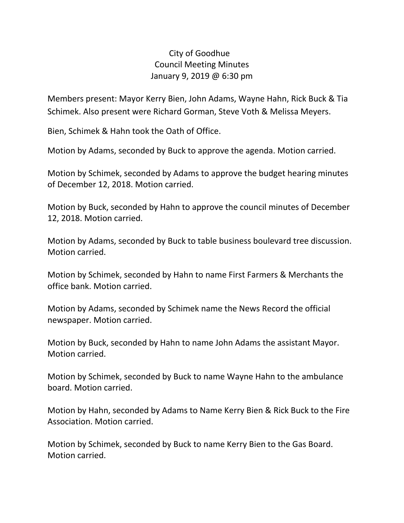## City of Goodhue Council Meeting Minutes January 9, 2019 @ 6:30 pm

Members present: Mayor Kerry Bien, John Adams, Wayne Hahn, Rick Buck & Tia Schimek. Also present were Richard Gorman, Steve Voth & Melissa Meyers.

Bien, Schimek & Hahn took the Oath of Office.

Motion by Adams, seconded by Buck to approve the agenda. Motion carried.

Motion by Schimek, seconded by Adams to approve the budget hearing minutes of December 12, 2018. Motion carried.

Motion by Buck, seconded by Hahn to approve the council minutes of December 12, 2018. Motion carried.

Motion by Adams, seconded by Buck to table business boulevard tree discussion. Motion carried.

Motion by Schimek, seconded by Hahn to name First Farmers & Merchants the office bank. Motion carried.

Motion by Adams, seconded by Schimek name the News Record the official newspaper. Motion carried.

Motion by Buck, seconded by Hahn to name John Adams the assistant Mayor. Motion carried.

Motion by Schimek, seconded by Buck to name Wayne Hahn to the ambulance board. Motion carried.

Motion by Hahn, seconded by Adams to Name Kerry Bien & Rick Buck to the Fire Association. Motion carried.

Motion by Schimek, seconded by Buck to name Kerry Bien to the Gas Board. Motion carried.